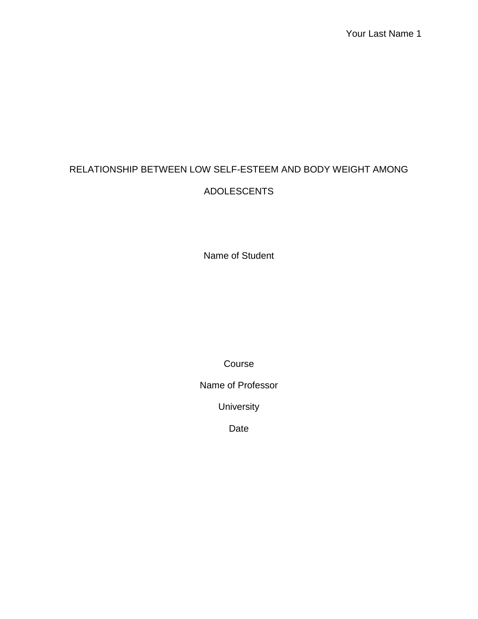# RELATIONSHIP BETWEEN LOW SELF-ESTEEM AND BODY WEIGHT AMONG ADOLESCENTS

Name of Student

Course

Name of Professor

University

Date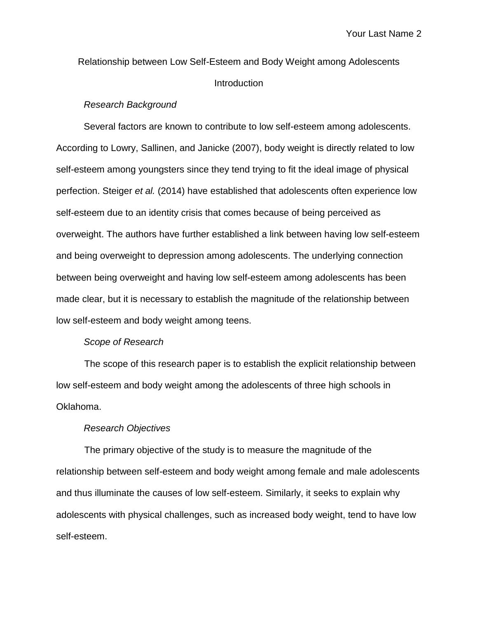Relationship between Low Self-Esteem and Body Weight among Adolescents **Introduction** 

## *Research Background*

Several factors are known to contribute to low self-esteem among adolescents. According to Lowry, Sallinen, and Janicke (2007), body weight is directly related to low self-esteem among youngsters since they tend trying to fit the ideal image of physical perfection. Steiger *et al.* (2014) have established that adolescents often experience low self-esteem due to an identity crisis that comes because of being perceived as overweight. The authors have further established a link between having low self-esteem and being overweight to depression among adolescents. The underlying connection between being overweight and having low self-esteem among adolescents has been made clear, but it is necessary to establish the magnitude of the relationship between low self-esteem and body weight among teens.

#### *Scope of Research*

The scope of this research paper is to establish the explicit relationship between low self-esteem and body weight among the adolescents of three high schools in Oklahoma.

#### *Research Objectives*

The primary objective of the study is to measure the magnitude of the relationship between self-esteem and body weight among female and male adolescents and thus illuminate the causes of low self-esteem. Similarly, it seeks to explain why adolescents with physical challenges, such as increased body weight, tend to have low self-esteem.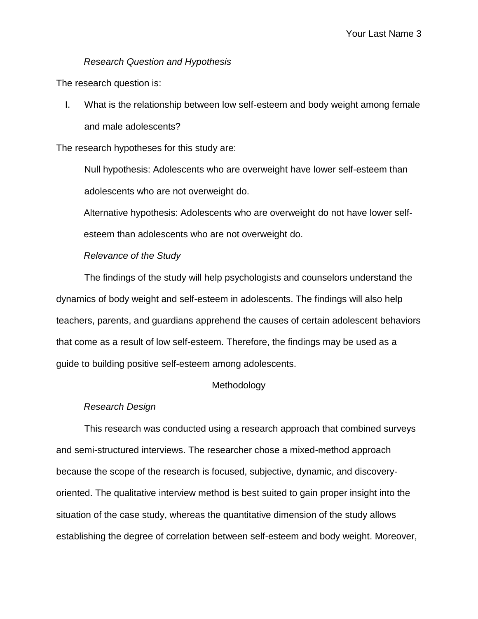## *Research Question and Hypothesis*

The research question is:

I. What is the relationship between low self-esteem and body weight among female and male adolescents?

The research hypotheses for this study are:

Null hypothesis: Adolescents who are overweight have lower self-esteem than adolescents who are not overweight do.

Alternative hypothesis: Adolescents who are overweight do not have lower self-

esteem than adolescents who are not overweight do.

## *Relevance of the Study*

The findings of the study will help psychologists and counselors understand the dynamics of body weight and self-esteem in adolescents. The findings will also help teachers, parents, and guardians apprehend the causes of certain adolescent behaviors that come as a result of low self-esteem. Therefore, the findings may be used as a guide to building positive self-esteem among adolescents.

## Methodology

## *Research Design*

This research was conducted using a research approach that combined surveys and semi-structured interviews. The researcher chose a mixed-method approach because the scope of the research is focused, subjective, dynamic, and discoveryoriented. The qualitative interview method is best suited to gain proper insight into the situation of the case study, whereas the quantitative dimension of the study allows establishing the degree of correlation between self-esteem and body weight. Moreover,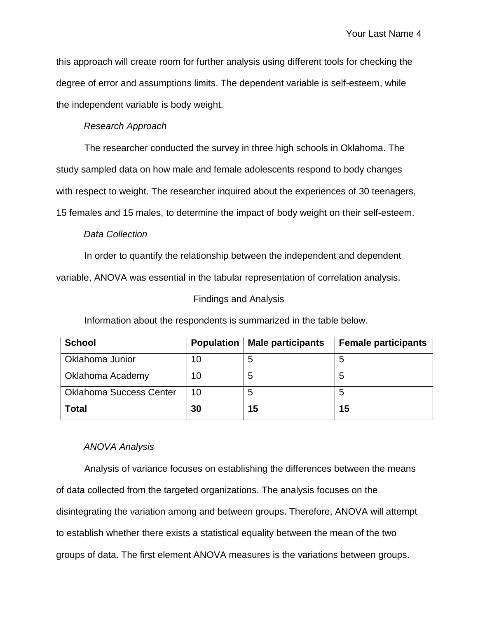this approach will create room for further analysis using different tools for checking the degree of error and assumptions limits. The dependent variable is self-esteem, while the independent variable is body weight.

# *Research Approach*

The researcher conducted the survey in three high schools in Oklahoma. The study sampled data on how male and female adolescents respond to body changes with respect to weight. The researcher inquired about the experiences of 30 teenagers, 15 females and 15 males, to determine the impact of body weight on their self-esteem.

# *Data Collection*

In order to quantify the relationship between the independent and dependent

variable, ANOVA was essential in the tabular representation of correlation analysis.

# Findings and Analysis

Information about the respondents is summarized in the table below.

| <b>School</b>                  | <b>Population</b> | <b>Male participants</b> | <b>Female participants</b> |
|--------------------------------|-------------------|--------------------------|----------------------------|
| Oklahoma Junior                | 10                | 5                        | 5                          |
| Oklahoma Academy               | 10                | 5                        | 5                          |
| <b>Oklahoma Success Center</b> | 10                | 5                        | 5                          |
| <b>Total</b>                   | 30                | 15                       | 15                         |

# *ANOVA Analysis*

Analysis of variance focuses on establishing the differences between the means of data collected from the targeted organizations. The analysis focuses on the disintegrating the variation among and between groups. Therefore, ANOVA will attempt to establish whether there exists a statistical equality between the mean of the two groups of data. The first element ANOVA measures is the variations between groups.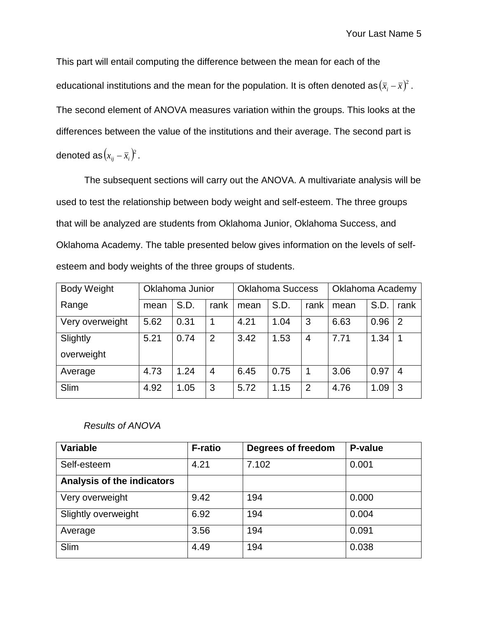This part will entail computing the difference between the mean for each of the educational institutions and the mean for the population. It is often denoted as  $(\overline{x}_i - \overline{x})^2$  . The second element of ANOVA measures variation within the groups. This looks at the differences between the value of the institutions and their average. The second part is denoted as $(x_{\scriptscriptstyle i \bar{\scriptscriptstyle j}} - \bar{x}_{\scriptscriptstyle i})^2$  $x_{ij} - \overline{x}_i$ <sup>2</sup>.

The subsequent sections will carry out the ANOVA. A multivariate analysis will be used to test the relationship between body weight and self-esteem. The three groups that will be analyzed are students from Oklahoma Junior, Oklahoma Success, and Oklahoma Academy. The table presented below gives information on the levels of selfesteem and body weights of the three groups of students.

| <b>Body Weight</b> | Oklahoma Junior |      | <b>Oklahoma Success</b> |      |      | Oklahoma Academy |      |      |                |
|--------------------|-----------------|------|-------------------------|------|------|------------------|------|------|----------------|
| Range              | mean            | S.D. | rank                    | mean | S.D. | rank             | mean | S.D. | rank           |
| Very overweight    | 5.62            | 0.31 | 1                       | 4.21 | 1.04 | 3                | 6.63 | 0.96 | $\overline{2}$ |
| Slightly           | 5.21            | 0.74 | $\overline{2}$          | 3.42 | 1.53 | $\overline{4}$   | 7.71 | 1.34 | 1              |
| overweight         |                 |      |                         |      |      |                  |      |      |                |
| Average            | 4.73            | 1.24 | 4                       | 6.45 | 0.75 |                  | 3.06 | 0.97 | 4              |
| Slim               | 4.92            | 1.05 | 3                       | 5.72 | 1.15 | $\overline{2}$   | 4.76 | 1.09 | 3              |

# *Results of ANOVA*

| <b>Variable</b>            | <b>F-ratio</b> | Degrees of freedom | P-value |
|----------------------------|----------------|--------------------|---------|
| Self-esteem                | 4.21           | 7.102              | 0.001   |
| Analysis of the indicators |                |                    |         |
| Very overweight            | 9.42           | 194                | 0.000   |
| <b>Slightly overweight</b> | 6.92           | 194                | 0.004   |
| Average                    | 3.56           | 194                | 0.091   |
| Slim                       | 4.49           | 194                | 0.038   |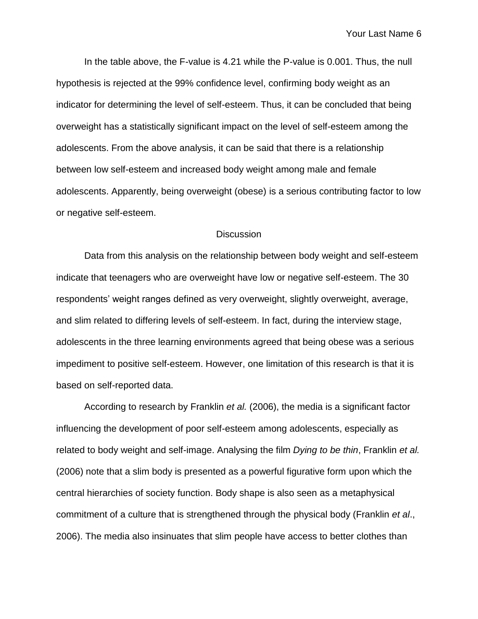Your Last Name 6

In the table above, the F-value is 4.21 while the P-value is 0.001. Thus, the null hypothesis is rejected at the 99% confidence level, confirming body weight as an indicator for determining the level of self-esteem. Thus, it can be concluded that being overweight has a statistically significant impact on the level of self-esteem among the adolescents. From the above analysis, it can be said that there is a relationship between low self-esteem and increased body weight among male and female adolescents. Apparently, being overweight (obese) is a serious contributing factor to low or negative self-esteem.

#### **Discussion**

Data from this analysis on the relationship between body weight and self-esteem indicate that teenagers who are overweight have low or negative self-esteem. The 30 respondents' weight ranges defined as very overweight, slightly overweight, average, and slim related to differing levels of self-esteem. In fact, during the interview stage, adolescents in the three learning environments agreed that being obese was a serious impediment to positive self-esteem. However, one limitation of this research is that it is based on self-reported data.

According to research by Franklin *et al.* (2006), the media is a significant factor influencing the development of poor self-esteem among adolescents, especially as related to body weight and self-image. Analysing the film *Dying to be thin*, Franklin *et al.* (2006) note that a slim body is presented as a powerful figurative form upon which the central hierarchies of society function. Body shape is also seen as a metaphysical commitment of a culture that is strengthened through the physical body (Franklin *et al*., 2006). The media also insinuates that slim people have access to better clothes than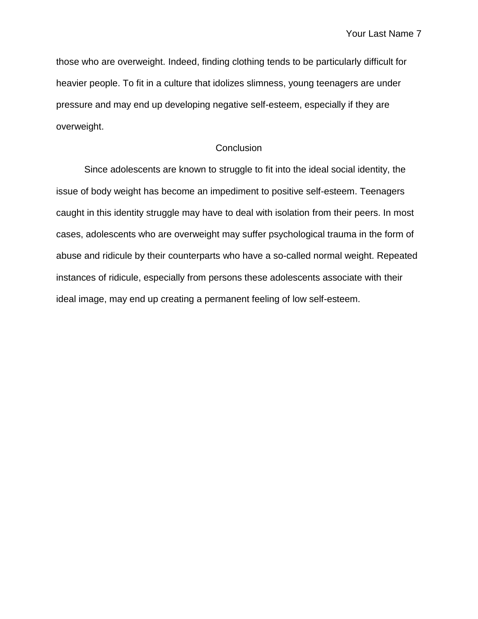those who are overweight. Indeed, finding clothing tends to be particularly difficult for heavier people. To fit in a culture that idolizes slimness, young teenagers are under pressure and may end up developing negative self-esteem, especially if they are overweight.

## **Conclusion**

Since adolescents are known to struggle to fit into the ideal social identity, the issue of body weight has become an impediment to positive self-esteem. Teenagers caught in this identity struggle may have to deal with isolation from their peers. In most cases, adolescents who are overweight may suffer psychological trauma in the form of abuse and ridicule by their counterparts who have a so-called normal weight. Repeated instances of ridicule, especially from persons these adolescents associate with their ideal image, may end up creating a permanent feeling of low self-esteem.